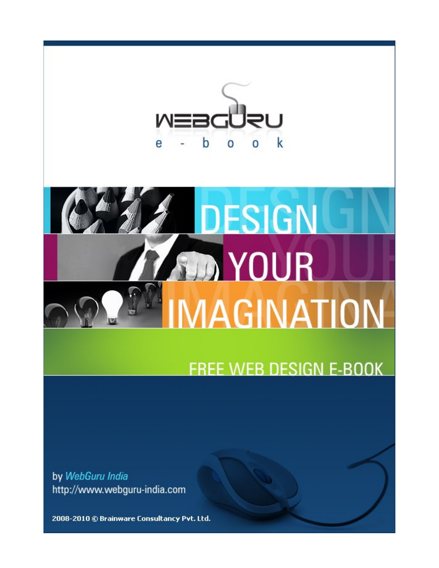

# **DESIGN MOUR** MAGINATION

*<b>Participate Associates Associates Associates Associates Associates Associates Associates Associates Associates* 

# **FREE WEB DESIGN E-BOOK**

by WebGuru India http://www.webguru-india.com

2008-2010 © Brainware Consultancy Pvt. Ltd.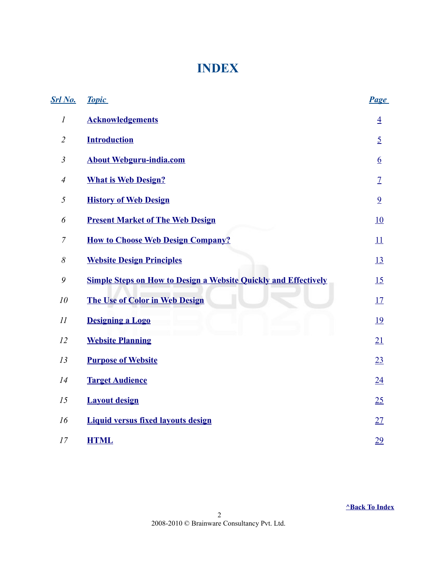### <span id="page-1-0"></span>**INDEX**

| <b>Srl</b> No.   | <b>Topic</b>                                                           | <b>Page</b>      |
|------------------|------------------------------------------------------------------------|------------------|
| $\boldsymbol{l}$ | <b>Acknowledgements</b>                                                | $\overline{4}$   |
| $\overline{2}$   | <b>Introduction</b>                                                    | $\overline{5}$   |
| $\mathfrak{Z}$   | <b>About Webguru-india.com</b>                                         | $6 \overline{6}$ |
| $\overline{4}$   | <b>What is Web Design?</b>                                             | $\overline{1}$   |
| 5                | <b>History of Web Design</b>                                           | $\overline{9}$   |
| 6                | <b>Present Market of The Web Design</b>                                | 10               |
| $\overline{7}$   | <b>How to Choose Web Design Company?</b>                               | 11               |
| $\delta$         | <b>Website Design Principles</b>                                       | <u>13</u>        |
| 9                | <b>Simple Steps on How to Design a Website Quickly and Effectively</b> | 15               |
| 10               | <b>The Use of Color in Web Design</b>                                  | 17               |
| II               | <b>Designing a Logo</b>                                                | <u>19</u>        |
| 12               | <b>Website Planning</b>                                                | 21               |
| 13               | <b>Purpose of Website</b>                                              | 23               |
| 14               | <b>Target Audience</b>                                                 | 24               |
| 15               | <b>Layout design</b>                                                   | 25               |
| 16               | <b>Liquid versus fixed layouts design</b>                              | 27               |
| 17               | <b>HTML</b>                                                            | 29               |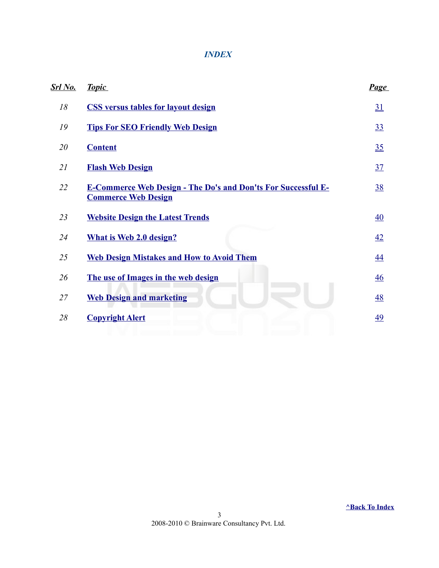#### *INDEX*

| <u>Srl No.</u> | <b>Topic</b>                                                                                       | <b>Page</b>      |
|----------------|----------------------------------------------------------------------------------------------------|------------------|
| 18             | <b>CSS versus tables for layout design</b>                                                         | 31               |
| 19             | <b>Tips For SEO Friendly Web Design</b>                                                            | 33               |
| 20             | <b>Content</b>                                                                                     | 35               |
| 21             | <b>Flash Web Design</b>                                                                            | 37               |
| 22             | <b>E-Commerce Web Design - The Do's and Don'ts For Successful E-</b><br><b>Commerce Web Design</b> | <u>38</u>        |
| 23             | <b>Website Design the Latest Trends</b>                                                            | $\underline{40}$ |
| 24             | <b>What is Web 2.0 design?</b>                                                                     | 42               |
| 25             | <b>Web Design Mistakes and How to Avoid Them</b>                                                   | 44               |
| 26             | The use of Images in the web design                                                                | $\overline{46}$  |
| 27             | <b>Web Design and marketing</b>                                                                    | <u>48</u>        |
| 28             | <b>Copyright Alert</b>                                                                             | 49               |
|                |                                                                                                    |                  |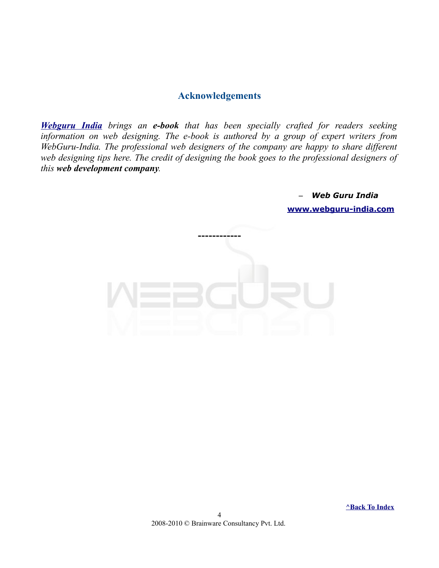#### <span id="page-3-0"></span>**Acknowledgements**

*[Webguru India](http://www.webguru-india.com/) brings an e-book that has been specially crafted for readers seeking information on web designing. The e-book is authored by a group of expert writers from WebGuru-India. The professional web designers of the company are happy to share different web designing tips here. The credit of designing the book goes to the professional designers of this web development company.* 

> – *Web Guru India*  **[www.webguru-india.com](http://www.webguru-india.com/)**



 **[^Back To Index](#page-1-0)**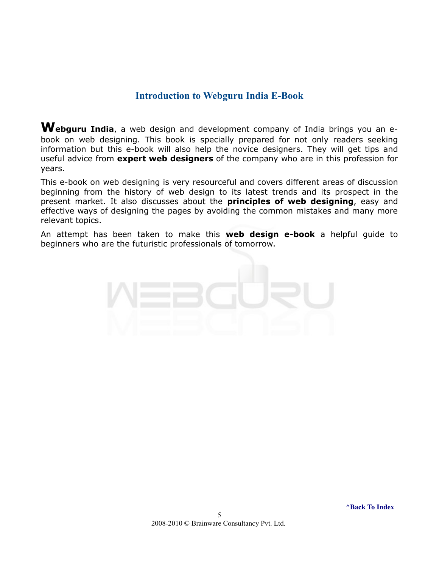#### <span id="page-4-0"></span>**Introduction to Webguru India E-Book**

**Webguru India**, a web design and development company of India brings you an ebook on web designing. This book is specially prepared for not only readers seeking information but this e-book will also help the novice designers. They will get tips and useful advice from **expert web designers** of the company who are in this profession for years.

This e-book on web designing is very resourceful and covers different areas of discussion beginning from the history of web design to its latest trends and its prospect in the present market. It also discusses about the **principles of web designing**, easy and effective ways of designing the pages by avoiding the common mistakes and many more relevant topics.

An attempt has been taken to make this **web design e-book** a helpful guide to beginners who are the futuristic professionals of tomorrow.

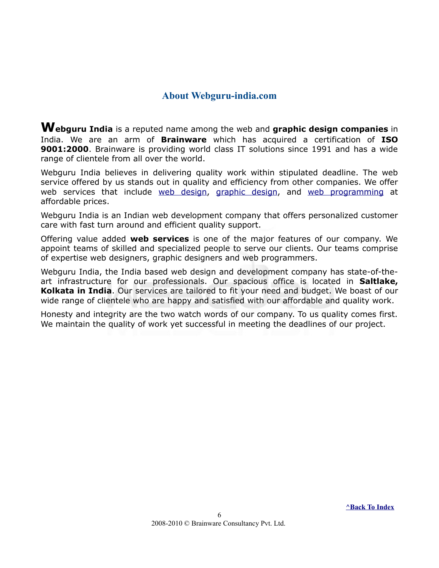#### <span id="page-5-0"></span>**About Webguru-india.com**

**Webguru India** is a reputed name among the web and **graphic design companies** in India. We are an arm of **Brainware** which has acquired a certification of **ISO 9001:2000**. Brainware is providing world class IT solutions since 1991 and has a wide range of clientele from all over the world.

Webguru India believes in delivering quality work within stipulated deadline. The web service offered by us stands out in quality and efficiency from other companies. We offer web services that include [web design,](http://www.webguru-india.com/webdesign.php) [graphic design,](http://www.webguru-india.com/graphic-design.php) and [web programming](http://www.webguru-india.com/web-programing.php) at affordable prices.

Webguru India is an Indian web development company that offers personalized customer care with fast turn around and efficient quality support.

Offering value added **web services** is one of the major features of our company. We appoint teams of skilled and specialized people to serve our clients. Our teams comprise of expertise web designers, graphic designers and web programmers.

Webguru India, the India based web design and development company has state-of-theart infrastructure for our professionals. Our spacious office is located in **Saltlake, Kolkata in India**. Our services are tailored to fit your need and budget. We boast of our wide range of clientele who are happy and satisfied with our affordable and quality work.

Honesty and integrity are the two watch words of our company. To us quality comes first. We maintain the quality of work yet successful in meeting the deadlines of our project.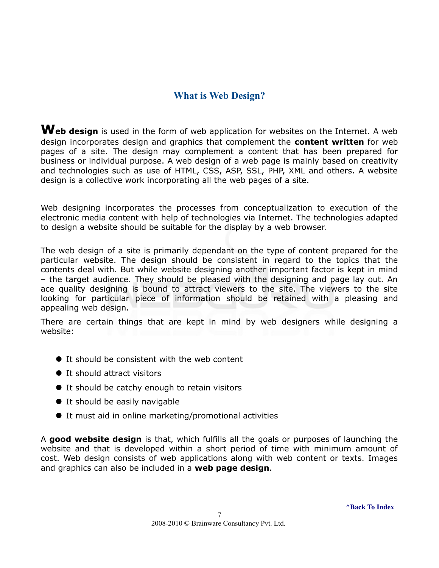#### <span id="page-6-0"></span>**What is Web Design?**

**Web design** is used in the form of web application for websites on the Internet. A web design incorporates design and graphics that complement the **content written** for web pages of a site. The design may complement a content that has been prepared for business or individual purpose. A web design of a web page is mainly based on creativity and technologies such as use of HTML, CSS, ASP, SSL, PHP, XML and others. A website design is a collective work incorporating all the web pages of a site.

Web designing incorporates the processes from conceptualization to execution of the electronic media content with help of technologies via Internet. The technologies adapted to design a website should be suitable for the display by a web browser.

The web design of a site is primarily dependant on the type of content prepared for the particular website. The design should be consistent in regard to the topics that the contents deal with. But while website designing another important factor is kept in mind – the target audience. They should be pleased with the designing and page lay out. An ace quality designing is bound to attract viewers to the site. The viewers to the site looking for particular piece of information should be retained with a pleasing and appealing web design.

There are certain things that are kept in mind by web designers while designing a website:

- It should be consistent with the web content
- It should attract visitors
- It should be catchy enough to retain visitors
- It should be easily navigable
- It must aid in online marketing/promotional activities

A **good website design** is that, which fulfills all the goals or purposes of launching the website and that is developed within a short period of time with minimum amount of cost. Web design consists of web applications along with web content or texts. Images and graphics can also be included in a **web page design**.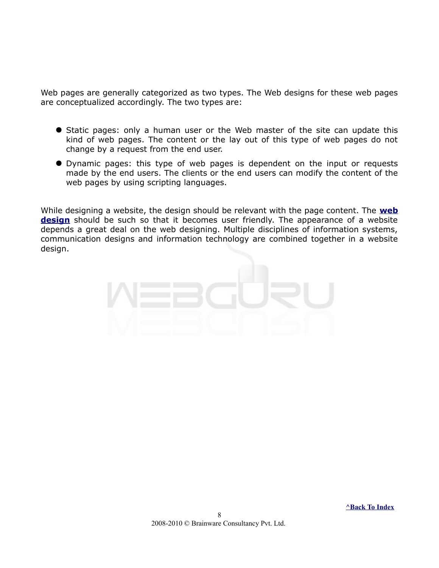Web pages are generally categorized as two types. The Web designs for these web pages are conceptualized accordingly. The two types are:

- **•** Static pages: only a human user or the Web master of the site can update this kind of web pages. The content or the lay out of this type of web pages do not change by a request from the end user.
- Dynamic pages: this type of web pages is dependent on the input or requests made by the end users. The clients or the end users can modify the content of the web pages by using scripting languages.

While designing a website, the design should be relevant with the page content. The **[web](http://www.webguru-india.com/webdesign.php) [design](http://www.webguru-india.com/webdesign.php)** should be such so that it becomes user friendly. The appearance of a website depends a great deal on the web designing. Multiple disciplines of information systems, communication designs and information technology are combined together in a website design.

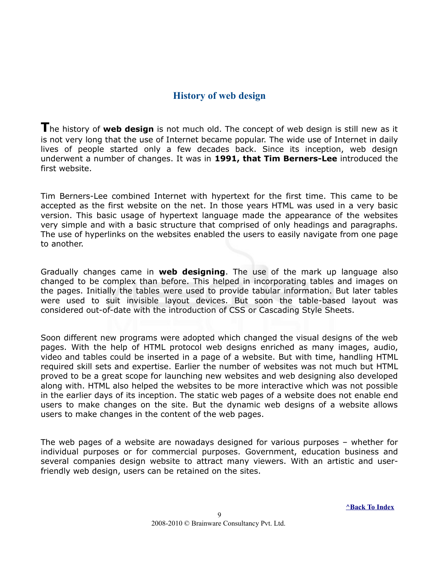#### <span id="page-8-0"></span>**History of web design**

**T**he history of **web design** is not much old. The concept of web design is still new as it is not very long that the use of Internet became popular. The wide use of Internet in daily lives of people started only a few decades back. Since its inception, web design underwent a number of changes. It was in **1991, that Tim Berners-Lee** introduced the first website.

Tim Berners-Lee combined Internet with hypertext for the first time. This came to be accepted as the first website on the net. In those years HTML was used in a very basic version. This basic usage of hypertext language made the appearance of the websites very simple and with a basic structure that comprised of only headings and paragraphs. The use of hyperlinks on the websites enabled the users to easily navigate from one page to another.

Gradually changes came in **web designing**. The use of the mark up language also changed to be complex than before. This helped in incorporating tables and images on the pages. Initially the tables were used to provide tabular information. But later tables were used to suit invisible layout devices. But soon the table-based layout was considered out-of-date with the introduction of CSS or Cascading Style Sheets.

Soon different new programs were adopted which changed the visual designs of the web pages. With the help of HTML protocol web designs enriched as many images, audio, video and tables could be inserted in a page of a website. But with time, handling HTML required skill sets and expertise. Earlier the number of websites was not much but HTML proved to be a great scope for launching new websites and web designing also developed along with. HTML also helped the websites to be more interactive which was not possible in the earlier days of its inception. The static web pages of a website does not enable end users to make changes on the site. But the dynamic web designs of a website allows users to make changes in the content of the web pages.

The web pages of a website are nowadays designed for various purposes – whether for individual purposes or for commercial purposes. Government, education business and several companies design website to attract many viewers. With an artistic and userfriendly web design, users can be retained on the sites.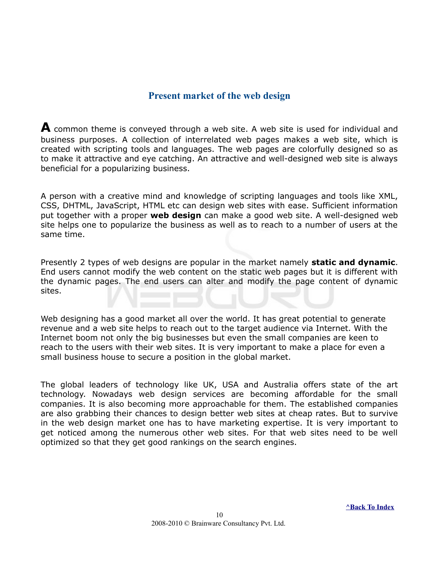#### <span id="page-9-0"></span>**Present market of the web design**

**A** common theme is conveyed through a web site. A web site is used for individual and business purposes. A collection of interrelated web pages makes a web site, which is created with scripting tools and languages. The web pages are colorfully designed so as to make it attractive and eye catching. An attractive and well-designed web site is always beneficial for a popularizing business.

A person with a creative mind and knowledge of scripting languages and tools like XML, CSS, DHTML, JavaScript, HTML etc can design web sites with ease. Sufficient information put together with a proper **web design** can make a good web site. A well-designed web site helps one to popularize the business as well as to reach to a number of users at the same time.

Presently 2 types of web designs are popular in the market namely **static and dynamic**. End users cannot modify the web content on the static web pages but it is different with the dynamic pages. The end users can alter and modify the page content of dynamic sites.

Web designing has a good market all over the world. It has great potential to generate revenue and a web site helps to reach out to the target audience via Internet. With the Internet boom not only the big businesses but even the small companies are keen to reach to the users with their web sites. It is very important to make a place for even a small business house to secure a position in the global market.

The global leaders of technology like UK, USA and Australia offers state of the art technology. Nowadays web design services are becoming affordable for the small companies. It is also becoming more approachable for them. The established companies are also grabbing their chances to design better web sites at cheap rates. But to survive in the web design market one has to have marketing expertise. It is very important to get noticed among the numerous other web sites. For that web sites need to be well optimized so that they get good rankings on the search engines.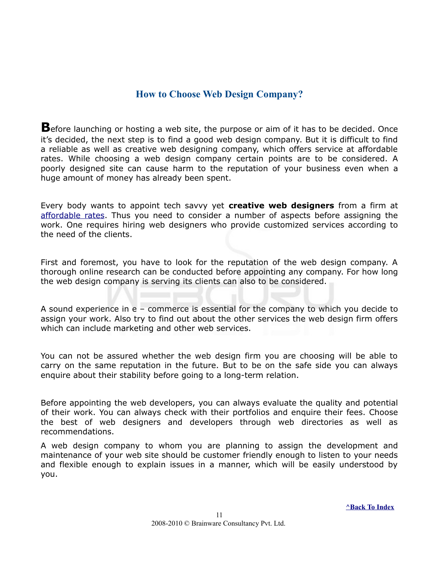#### <span id="page-10-0"></span>**How to Choose Web Design Company?**

**B**efore launching or hosting a web site, the purpose or aim of it has to be decided. Once it's decided, the next step is to find a good web design company. But it is difficult to find a reliable as well as creative web designing company, which offers service at affordable rates. While choosing a web design company certain points are to be considered. A poorly designed site can cause harm to the reputation of your business even when a huge amount of money has already been spent.

Every body wants to appoint tech savvy yet **creative web designers** from a firm at [affordable rates.](http://www.webguru-india.com/pricelist.php) Thus you need to consider a number of aspects before assigning the work. One requires hiring web designers who provide customized services according to the need of the clients.

First and foremost, you have to look for the reputation of the web design company. A thorough online research can be conducted before appointing any company. For how long the web design company is serving its clients can also to be considered.

A sound experience in e – commerce is essential for the company to which you decide to assign your work. Also try to find out about the other services the web design firm offers which can include marketing and other web services.

You can not be assured whether the web design firm you are choosing will be able to carry on the same reputation in the future. But to be on the safe side you can always enquire about their stability before going to a long-term relation.

Before appointing the web developers, you can always evaluate the quality and potential of their work. You can always check with their portfolios and enquire their fees. Choose the best of web designers and developers through web directories as well as recommendations.

A web design company to whom you are planning to assign the development and maintenance of your web site should be customer friendly enough to listen to your needs and flexible enough to explain issues in a manner, which will be easily understood by you.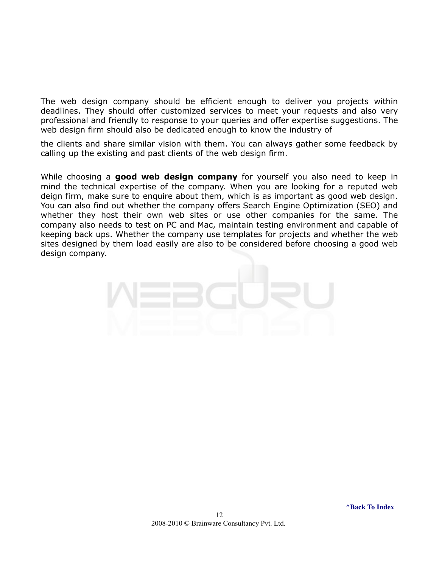The web design company should be efficient enough to deliver you projects within deadlines. They should offer customized services to meet your requests and also very professional and friendly to response to your queries and offer expertise suggestions. The web design firm should also be dedicated enough to know the industry of

the clients and share similar vision with them. You can always gather some feedback by calling up the existing and past clients of the web design firm.

While choosing a **good web design company** for yourself you also need to keep in mind the technical expertise of the company. When you are looking for a reputed web deign firm, make sure to enquire about them, which is as important as good web design. You can also find out whether the company offers Search Engine Optimization (SEO) and whether they host their own web sites or use other companies for the same. The company also needs to test on PC and Mac, maintain testing environment and capable of keeping back ups. Whether the company use templates for projects and whether the web sites designed by them load easily are also to be considered before choosing a good web design company.

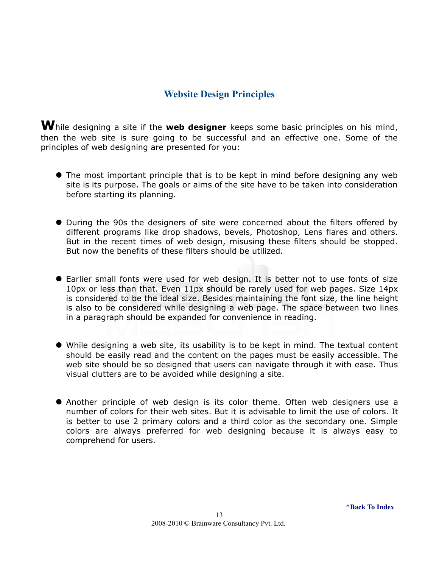#### <span id="page-12-0"></span>**Website Design Principles**

**W**hile designing a site if the **web designer** keeps some basic principles on his mind, then the web site is sure going to be successful and an effective one. Some of the principles of web designing are presented for you:

- The most important principle that is to be kept in mind before designing any web site is its purpose. The goals or aims of the site have to be taken into consideration before starting its planning.
- During the 90s the designers of site were concerned about the filters offered by different programs like drop shadows, bevels, Photoshop, Lens flares and others. But in the recent times of web design, misusing these filters should be stopped. But now the benefits of these filters should be utilized.
- Earlier small fonts were used for web design. It is better not to use fonts of size 10px or less than that. Even 11px should be rarely used for web pages. Size 14px is considered to be the ideal size. Besides maintaining the font size, the line height is also to be considered while designing a web page. The space between two lines in a paragraph should be expanded for convenience in reading.
- While designing a web site, its usability is to be kept in mind. The textual content should be easily read and the content on the pages must be easily accessible. The web site should be so designed that users can navigate through it with ease. Thus visual clutters are to be avoided while designing a site.
- Another principle of web design is its color theme. Often web designers use a number of colors for their web sites. But it is advisable to limit the use of colors. It is better to use 2 primary colors and a third color as the secondary one. Simple colors are always preferred for web designing because it is always easy to comprehend for users.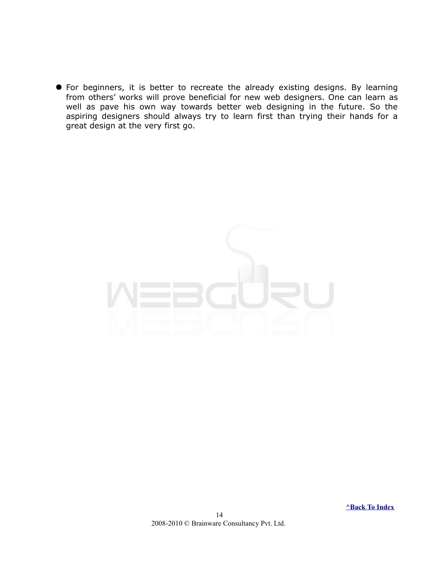For beginners, it is better to recreate the already existing designs. By learning from others' works will prove beneficial for new web designers. One can learn as well as pave his own way towards better web designing in the future. So the aspiring designers should always try to learn first than trying their hands for a great design at the very first go.



 **[^Back To Index](#page-1-0)**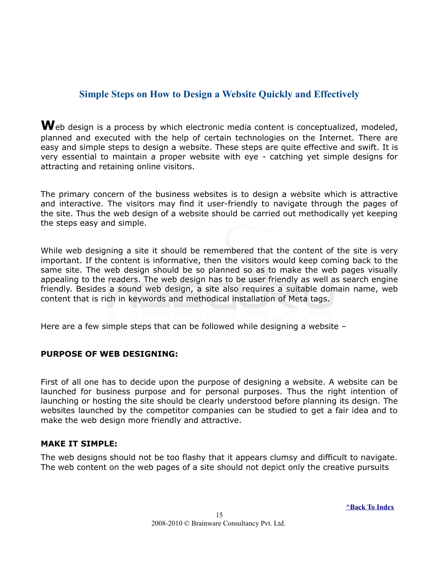#### <span id="page-14-0"></span>**Simple Steps on How to Design a Website Quickly and Effectively**

Web design is a process by which electronic media content is conceptualized, modeled, planned and executed with the help of certain technologies on the Internet. There are easy and simple steps to design a website. These steps are quite effective and swift. It is very essential to maintain a proper website with eye - catching yet simple designs for attracting and retaining online visitors.

The primary concern of the business websites is to design a website which is attractive and interactive. The visitors may find it user-friendly to navigate through the pages of the site. Thus the web design of a website should be carried out methodically yet keeping the steps easy and simple.

While web designing a site it should be remembered that the content of the site is very important. If the content is informative, then the visitors would keep coming back to the same site. The web design should be so planned so as to make the web pages visually appealing to the readers. The web design has to be user friendly as well as search engine friendly. Besides a sound web design, a site also requires a suitable domain name, web content that is rich in keywords and methodical installation of Meta tags.

Here are a few simple steps that can be followed while designing a website –

#### **PURPOSE OF WEB DESIGNING:**

First of all one has to decide upon the purpose of designing a website. A website can be launched for business purpose and for personal purposes. Thus the right intention of launching or hosting the site should be clearly understood before planning its design. The websites launched by the competitor companies can be studied to get a fair idea and to make the web design more friendly and attractive.

#### **MAKE IT SIMPLE:**

The web designs should not be too flashy that it appears clumsy and difficult to navigate. The web content on the web pages of a site should not depict only the creative pursuits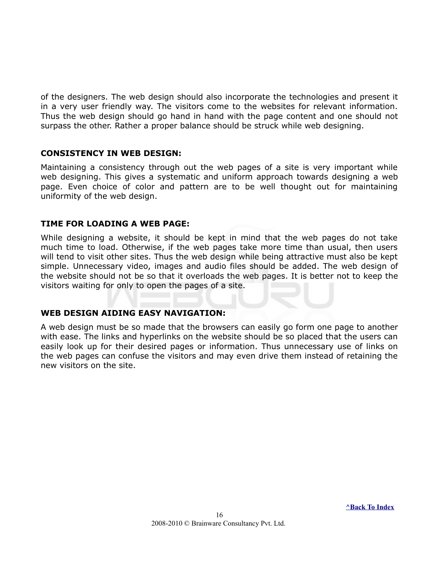of the designers. The web design should also incorporate the technologies and present it in a very user friendly way. The visitors come to the websites for relevant information. Thus the web design should go hand in hand with the page content and one should not surpass the other. Rather a proper balance should be struck while web designing.

#### **CONSISTENCY IN WEB DESIGN:**

Maintaining a consistency through out the web pages of a site is very important while web designing. This gives a systematic and uniform approach towards designing a web page. Even choice of color and pattern are to be well thought out for maintaining uniformity of the web design.

#### **TIME FOR LOADING A WEB PAGE:**

While designing a website, it should be kept in mind that the web pages do not take much time to load. Otherwise, if the web pages take more time than usual, then users will tend to visit other sites. Thus the web design while being attractive must also be kept simple. Unnecessary video, images and audio files should be added. The web design of the website should not be so that it overloads the web pages. It is better not to keep the visitors waiting for only to open the pages of a site.

#### **WEB DESIGN AIDING EASY NAVIGATION:**

A web design must be so made that the browsers can easily go form one page to another with ease. The links and hyperlinks on the website should be so placed that the users can easily look up for their desired pages or information. Thus unnecessary use of links on the web pages can confuse the visitors and may even drive them instead of retaining the new visitors on the site.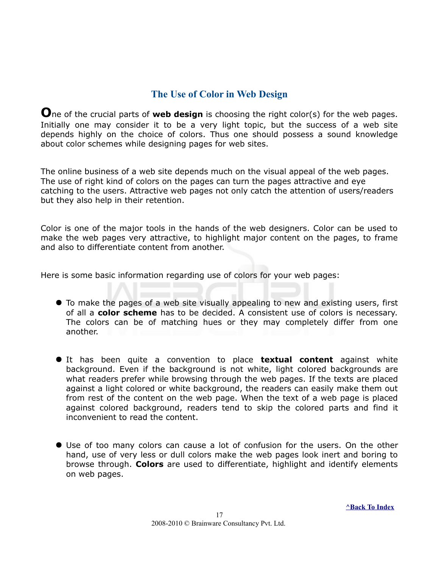#### <span id="page-16-0"></span>**The Use of Color in Web Design**

**O**ne of the crucial parts of **web design** is choosing the right color(s) for the web pages. Initially one may consider it to be a very light topic, but the success of a web site depends highly on the choice of colors. Thus one should possess a sound knowledge about color schemes while designing pages for web sites.

The online business of a web site depends much on the visual appeal of the web pages. The use of right kind of colors on the pages can turn the pages attractive and eye catching to the users. Attractive web pages not only catch the attention of users/readers but they also help in their retention.

Color is one of the major tools in the hands of the web designers. Color can be used to make the web pages very attractive, to highlight major content on the pages, to frame and also to differentiate content from another.

Here is some basic information regarding use of colors for your web pages:

- To make the pages of a web site visually appealing to new and existing users, first of all a **color scheme** has to be decided. A consistent use of colors is necessary. The colors can be of matching hues or they may completely differ from one another.
- It has been quite a convention to place **textual content** against white background. Even if the background is not white, light colored backgrounds are what readers prefer while browsing through the web pages. If the texts are placed against a light colored or white background, the readers can easily make them out from rest of the content on the web page. When the text of a web page is placed against colored background, readers tend to skip the colored parts and find it inconvenient to read the content.
- Use of too many colors can cause a lot of confusion for the users. On the other hand, use of very less or dull colors make the web pages look inert and boring to browse through. **Colors** are used to differentiate, highlight and identify elements on web pages.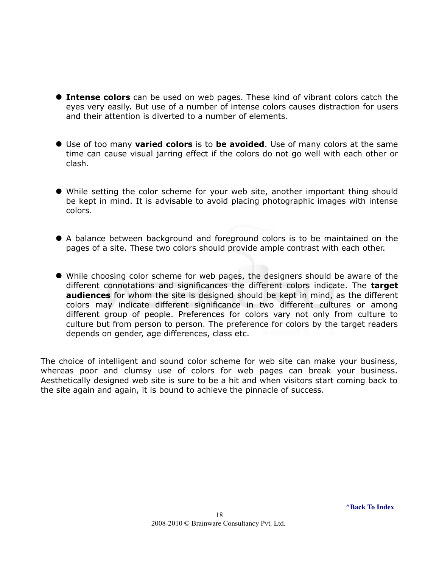- **Intense colors** can be used on web pages. These kind of vibrant colors catch the eyes very easily. But use of a number of intense colors causes distraction for users and their attention is diverted to a number of elements.
- Use of too many **varied colors** is to **be avoided**. Use of many colors at the same time can cause visual jarring effect if the colors do not go well with each other or clash.
- While setting the color scheme for your web site, another important thing should be kept in mind. It is advisable to avoid placing photographic images with intense colors.
- A balance between background and foreground colors is to be maintained on the pages of a site. These two colors should provide ample contrast with each other.
- While choosing color scheme for web pages, the designers should be aware of the different connotations and significances the different colors indicate. The **target audiences** for whom the site is designed should be kept in mind, as the different colors may indicate different significance in two different cultures or among different group of people. Preferences for colors vary not only from culture to culture but from person to person. The preference for colors by the target readers depends on gender, age differences, class etc.

The choice of intelligent and sound color scheme for web site can make your business, whereas poor and clumsy use of colors for web pages can break your business. Aesthetically designed web site is sure to be a hit and when visitors start coming back to the site again and again, it is bound to achieve the pinnacle of success.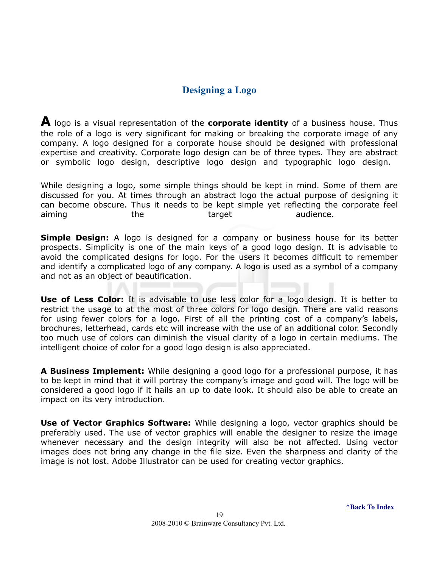#### <span id="page-18-0"></span>**Designing a Logo**

**A** logo is a visual representation of the **corporate identity** of a business house. Thus the role of a logo is very significant for making or breaking the corporate image of any company. A logo designed for a corporate house should be designed with professional expertise and creativity. Corporate logo design can be of three types. They are abstract or symbolic logo design, descriptive logo design and typographic logo design.

While designing a logo, some simple things should be kept in mind. Some of them are discussed for you. At times through an abstract logo the actual purpose of designing it can become obscure. Thus it needs to be kept simple yet reflecting the corporate feel aiming the the target audience.

**Simple Design:** A logo is designed for a company or business house for its better prospects. Simplicity is one of the main keys of a good logo design. It is advisable to avoid the complicated designs for logo. For the users it becomes difficult to remember and identify a complicated logo of any company. A logo is used as a symbol of a company and not as an object of beautification.

**Use of Less Color:** It is advisable to use less color for a logo design. It is better to restrict the usage to at the most of three colors for logo design. There are valid reasons for using fewer colors for a logo. First of all the printing cost of a company's labels, brochures, letterhead, cards etc will increase with the use of an additional color. Secondly too much use of colors can diminish the visual clarity of a logo in certain mediums. The intelligent choice of color for a good logo design is also appreciated.

**A Business Implement:** While designing a good logo for a professional purpose, it has to be kept in mind that it will portray the company's image and good will. The logo will be considered a good logo if it hails an up to date look. It should also be able to create an impact on its very introduction.

**Use of Vector Graphics Software:** While designing a logo, vector graphics should be preferably used. The use of vector graphics will enable the designer to resize the image whenever necessary and the design integrity will also be not affected. Using vector images does not bring any change in the file size. Even the sharpness and clarity of the image is not lost. Adobe Illustrator can be used for creating vector graphics.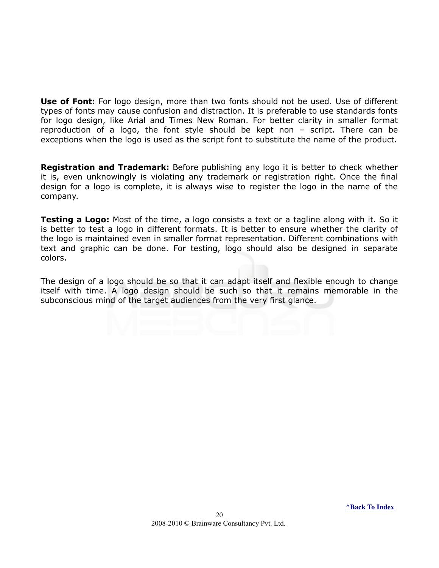**Use of Font:** For logo design, more than two fonts should not be used. Use of different types of fonts may cause confusion and distraction. It is preferable to use standards fonts for logo design, like Arial and Times New Roman. For better clarity in smaller format reproduction of a logo, the font style should be kept non – script. There can be exceptions when the logo is used as the script font to substitute the name of the product.

**Registration and Trademark:** Before publishing any logo it is better to check whether it is, even unknowingly is violating any trademark or registration right. Once the final design for a logo is complete, it is always wise to register the logo in the name of the company.

**Testing a Logo:** Most of the time, a logo consists a text or a tagline along with it. So it is better to test a logo in different formats. It is better to ensure whether the clarity of the logo is maintained even in smaller format representation. Different combinations with text and graphic can be done. For testing, logo should also be designed in separate colors.

The design of a logo should be so that it can adapt itself and flexible enough to change itself with time. A logo design should be such so that it remains memorable in the subconscious mind of the target audiences from the very first glance.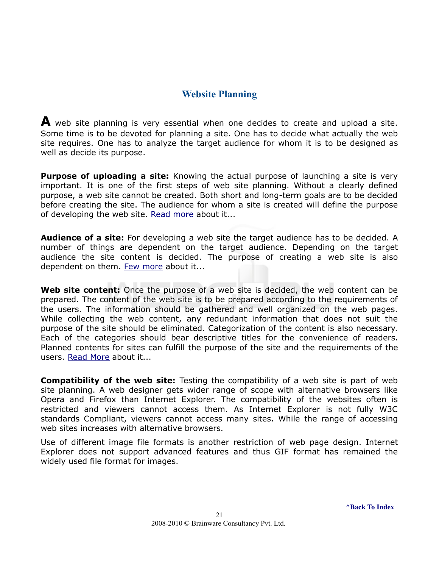#### <span id="page-20-0"></span>**Website Planning**

**A** web site planning is very essential when one decides to create and upload a site. Some time is to be devoted for planning a site. One has to decide what actually the web site requires. One has to analyze the target audience for whom it is to be designed as well as decide its purpose.

**Purpose of uploading a site:** Knowing the actual purpose of launching a site is very important. It is one of the first steps of web site planning. Without a clearly defined purpose, a web site cannot be created. Both short and long-term goals are to be decided before creating the site. The audience for whom a site is created will define the purpose of developing the web site. [Read more](#page-22-0) about it...

**Audience of a site:** For developing a web site the target audience has to be decided. A number of things are dependent on the target audience. Depending on the target audience the site content is decided. The purpose of creating a web site is also dependent on them. [Few more](#page-23-0) about it...

**Web site content:** Once the purpose of a web site is decided, the web content can be prepared. The content of the web site is to be prepared according to the requirements of the users. The information should be gathered and well organized on the web pages. While collecting the web content, any redundant information that does not suit the purpose of the site should be eliminated. Categorization of the content is also necessary. Each of the categories should bear descriptive titles for the convenience of readers. Planned contents for sites can fulfill the purpose of the site and the requirements of the users. [Read More](#page-34-0) about it...

**Compatibility of the web site:** Testing the compatibility of a web site is part of web site planning. A web designer gets wider range of scope with alternative browsers like Opera and Firefox than Internet Explorer. The compatibility of the websites often is restricted and viewers cannot access them. As Internet Explorer is not fully W3C standards Compliant, viewers cannot access many sites. While the range of accessing web sites increases with alternative browsers.

Use of different image file formats is another restriction of web page design. Internet Explorer does not support advanced features and thus GIF format has remained the widely used file format for images.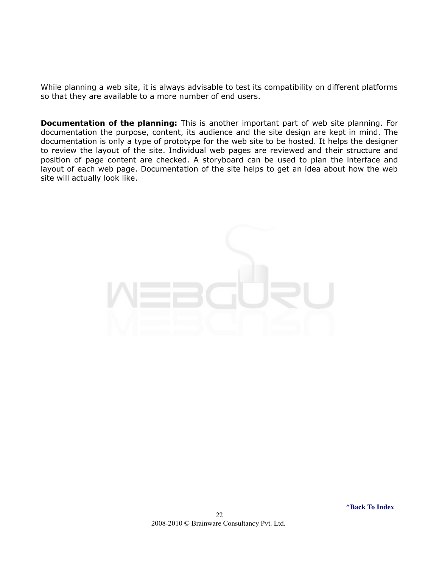While planning a web site, it is always advisable to test its compatibility on different platforms so that they are available to a more number of end users.

**Documentation of the planning:** This is another important part of web site planning. For documentation the purpose, content, its audience and the site design are kept in mind. The documentation is only a type of prototype for the web site to be hosted. It helps the designer to review the layout of the site. Individual web pages are reviewed and their structure and position of page content are checked. A storyboard can be used to plan the interface and layout of each web page. Documentation of the site helps to get an idea about how the web site will actually look like.

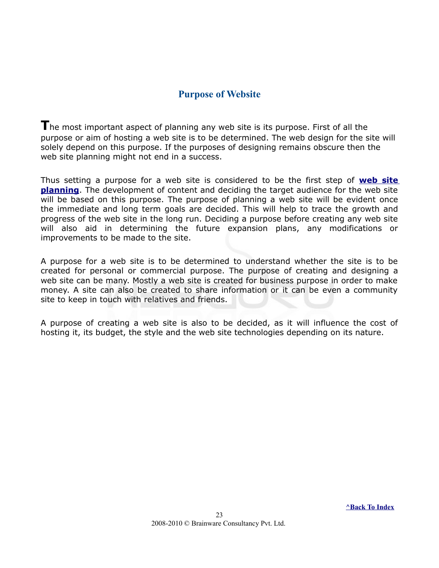#### <span id="page-22-0"></span>**Purpose of Website**

**T**he most important aspect of planning any web site is its purpose. First of all the purpose or aim of hosting a web site is to be determined. The web design for the site will solely depend on this purpose. If the purposes of designing remains obscure then the web site planning might not end in a success.

Thus setting a purpose for a web site is considered to be the first step of **[web site](#page-20-0) [planning](#page-20-0)**. The development of content and deciding the target audience for the web site will be based on this purpose. The purpose of planning a web site will be evident once the immediate and long term goals are decided. This will help to trace the growth and progress of the web site in the long run. Deciding a purpose before creating any web site will also aid in determining the future expansion plans, any modifications or improvements to be made to the site.

A purpose for a web site is to be determined to understand whether the site is to be created for personal or commercial purpose. The purpose of creating and designing a web site can be many. Mostly a web site is created for business purpose in order to make money. A site can also be created to share information or it can be even a community site to keep in touch with relatives and friends.

A purpose of creating a web site is also to be decided, as it will influence the cost of hosting it, its budget, the style and the web site technologies depending on its nature.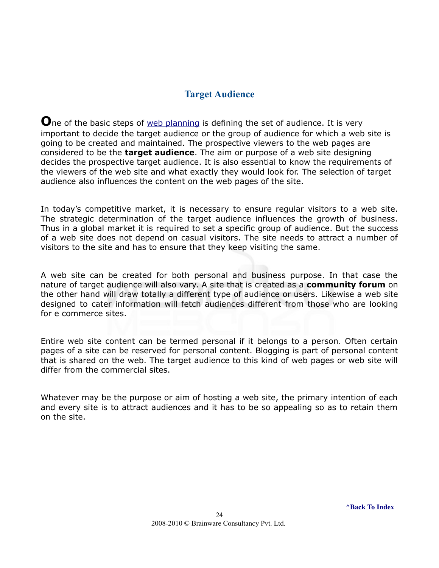#### <span id="page-23-0"></span>**Target Audience**

**O**ne of the basic steps of [web planning](#page-20-0) is defining the set of audience. It is very important to decide the target audience or the group of audience for which a web site is going to be created and maintained. The prospective viewers to the web pages are considered to be the **target audience**. The aim or purpose of a web site designing decides the prospective target audience. It is also essential to know the requirements of the viewers of the web site and what exactly they would look for. The selection of target audience also influences the content on the web pages of the site.

In today's competitive market, it is necessary to ensure regular visitors to a web site. The strategic determination of the target audience influences the growth of business. Thus in a global market it is required to set a specific group of audience. But the success of a web site does not depend on casual visitors. The site needs to attract a number of visitors to the site and has to ensure that they keep visiting the same.

A web site can be created for both personal and business purpose. In that case the nature of target audience will also vary. A site that is created as a **community forum** on the other hand will draw totally a different type of audience or users. Likewise a web site designed to cater information will fetch audiences different from those who are looking for e commerce sites.

Entire web site content can be termed personal if it belongs to a person. Often certain pages of a site can be reserved for personal content. Blogging is part of personal content that is shared on the web. The target audience to this kind of web pages or web site will differ from the commercial sites.

Whatever may be the purpose or aim of hosting a web site, the primary intention of each and every site is to attract audiences and it has to be so appealing so as to retain them on the site.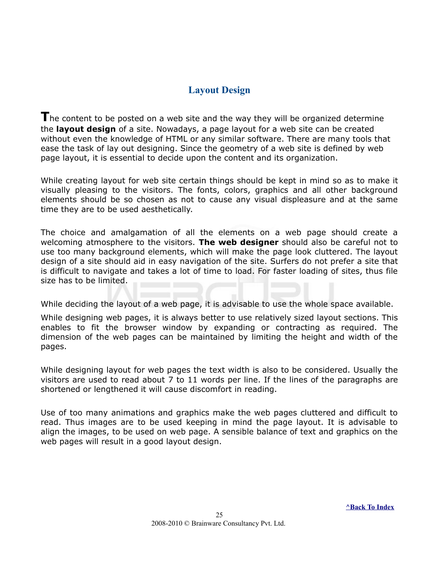#### <span id="page-24-0"></span>**Layout Design**

The content to be posted on a web site and the way they will be organized determine the **layout design** of a site. Nowadays, a page layout for a web site can be created without even the knowledge of HTML or any similar software. There are many tools that ease the task of lay out designing. Since the geometry of a web site is defined by web page layout, it is essential to decide upon the content and its organization.

While creating layout for web site certain things should be kept in mind so as to make it visually pleasing to the visitors. The fonts, colors, graphics and all other background elements should be so chosen as not to cause any visual displeasure and at the same time they are to be used aesthetically.

The choice and amalgamation of all the elements on a web page should create a welcoming atmosphere to the visitors. **The web designer** should also be careful not to use too many background elements, which will make the page look cluttered. The layout design of a site should aid in easy navigation of the site. Surfers do not prefer a site that is difficult to navigate and takes a lot of time to load. For faster loading of sites, thus file size has to be limited.

While deciding the layout of a web page, it is advisable to use the whole space available.

While designing web pages, it is always better to use relatively sized layout sections. This enables to fit the browser window by expanding or contracting as required. The dimension of the web pages can be maintained by limiting the height and width of the pages.

While designing layout for web pages the text width is also to be considered. Usually the visitors are used to read about 7 to 11 words per line. If the lines of the paragraphs are shortened or lengthened it will cause discomfort in reading.

Use of too many animations and graphics make the web pages cluttered and difficult to read. Thus images are to be used keeping in mind the page layout. It is advisable to align the images, to be used on web page. A sensible balance of text and graphics on the web pages will result in a good layout design.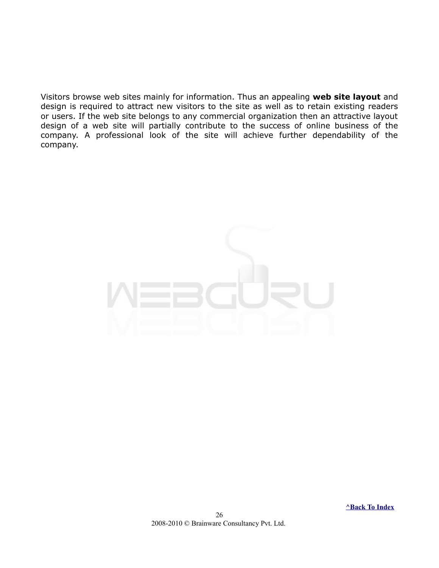Visitors browse web sites mainly for information. Thus an appealing **web site layout** and design is required to attract new visitors to the site as well as to retain existing readers or users. If the web site belongs to any commercial organization then an attractive layout design of a web site will partially contribute to the success of online business of the company. A professional look of the site will achieve further dependability of the company.

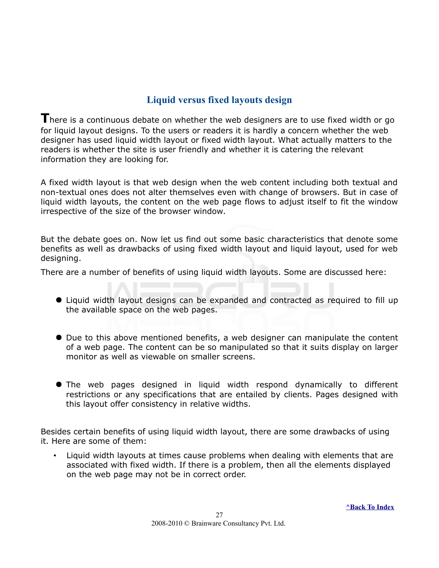#### <span id="page-26-0"></span>**Liquid versus fixed layouts design**

There is a continuous debate on whether the web designers are to use fixed width or go for liquid layout designs. To the users or readers it is hardly a concern whether the web designer has used liquid width layout or fixed width layout. What actually matters to the readers is whether the site is user friendly and whether it is catering the relevant information they are looking for.

A fixed width layout is that web design when the web content including both textual and non-textual ones does not alter themselves even with change of browsers. But in case of liquid width layouts, the content on the web page flows to adjust itself to fit the window irrespective of the size of the browser window.

But the debate goes on. Now let us find out some basic characteristics that denote some benefits as well as drawbacks of using fixed width layout and liquid layout, used for web designing.

There are a number of benefits of using liquid width layouts. Some are discussed here:

- Liquid width layout designs can be expanded and contracted as required to fill up the available space on the web pages.
- Due to this above mentioned benefits, a web designer can manipulate the content of a web page. The content can be so manipulated so that it suits display on larger monitor as well as viewable on smaller screens.
- The web pages designed in liquid width respond dynamically to different restrictions or any specifications that are entailed by clients. Pages designed with this layout offer consistency in relative widths.

Besides certain benefits of using liquid width layout, there are some drawbacks of using it. Here are some of them:

• Liquid width layouts at times cause problems when dealing with elements that are associated with fixed width. If there is a problem, then all the elements displayed on the web page may not be in correct order.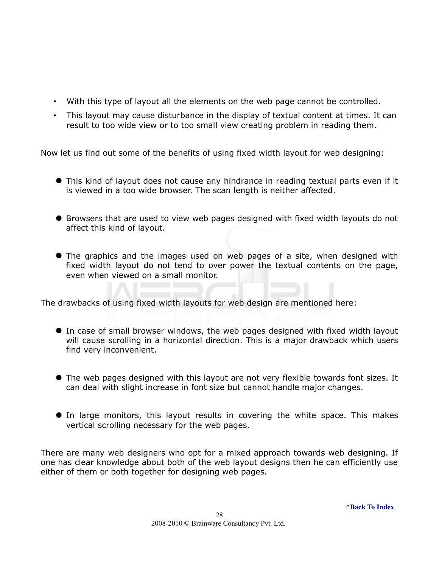- With this type of layout all the elements on the web page cannot be controlled.
- This layout may cause disturbance in the display of textual content at times. It can result to too wide view or to too small view creating problem in reading them.

Now let us find out some of the benefits of using fixed width layout for web designing:

- This kind of layout does not cause any hindrance in reading textual parts even if it is viewed in a too wide browser. The scan length is neither affected.
- Browsers that are used to view web pages designed with fixed width layouts do not affect this kind of layout.
- The graphics and the images used on web pages of a site, when designed with fixed width layout do not tend to over power the textual contents on the page, even when viewed on a small monitor.

The drawbacks of using fixed width layouts for web design are mentioned here:

- In case of small browser windows, the web pages designed with fixed width layout will cause scrolling in a horizontal direction. This is a major drawback which users find very inconvenient.
- The web pages designed with this layout are not very flexible towards font sizes. It can deal with slight increase in font size but cannot handle major changes.
- In large monitors, this layout results in covering the white space. This makes vertical scrolling necessary for the web pages.

There are many web designers who opt for a mixed approach towards web designing. If one has clear knowledge about both of the web layout designs then he can efficiently use either of them or both together for designing web pages.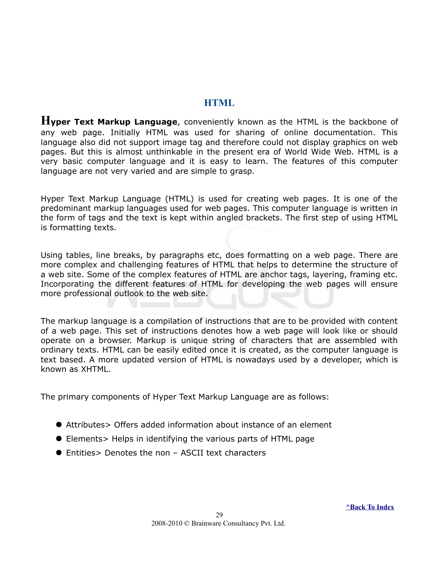#### <span id="page-28-0"></span>**HTML**

**Hyper Text Markup Language**, conveniently known as the HTML is the backbone of any web page. Initially HTML was used for sharing of online documentation. This language also did not support image tag and therefore could not display graphics on web pages. But this is almost unthinkable in the present era of World Wide Web. HTML is a very basic computer language and it is easy to learn. The features of this computer language are not very varied and are simple to grasp.

Hyper Text Markup Language (HTML) is used for creating web pages. It is one of the predominant markup languages used for web pages. This computer language is written in the form of tags and the text is kept within angled brackets. The first step of using HTML is formatting texts.

Using tables, line breaks, by paragraphs etc, does formatting on a web page. There are more complex and challenging features of HTML that helps to determine the structure of a web site. Some of the complex features of HTML are anchor tags, layering, framing etc. Incorporating the different features of HTML for developing the web pages will ensure more professional outlook to the web site.

The markup language is a compilation of instructions that are to be provided with content of a web page. This set of instructions denotes how a web page will look like or should operate on a browser. Markup is unique string of characters that are assembled with ordinary texts. HTML can be easily edited once it is created, as the computer language is text based. A more updated version of HTML is nowadays used by a developer, which is known as XHTML.

The primary components of Hyper Text Markup Language are as follows:

- Attributes> Offers added information about instance of an element
- Elements> Helps in identifying the various parts of HTML page
- Entities> Denotes the non ASCII text characters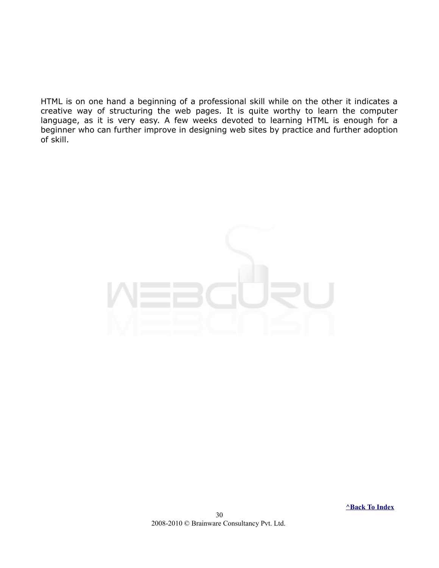HTML is on one hand a beginning of a professional skill while on the other it indicates a creative way of structuring the web pages. It is quite worthy to learn the computer language, as it is very easy. A few weeks devoted to learning HTML is enough for a beginner who can further improve in designing web sites by practice and further adoption of skill.



 **[^Back To Index](#page-1-0)**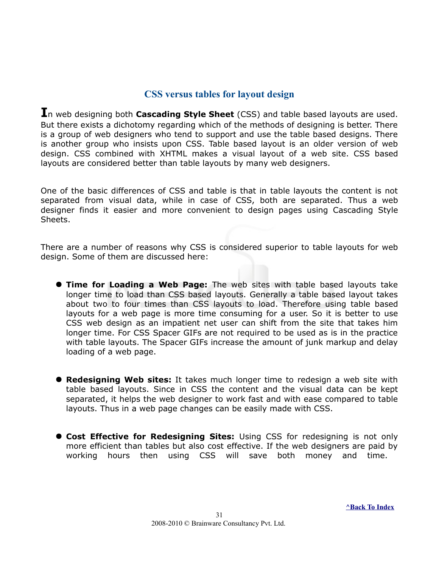#### <span id="page-30-0"></span>**CSS versus tables for layout design**

**I**n web designing both **Cascading Style Sheet** (CSS) and table based layouts are used. But there exists a dichotomy regarding which of the methods of designing is better. There is a group of web designers who tend to support and use the table based designs. There is another group who insists upon CSS. Table based layout is an older version of web design. CSS combined with XHTML makes a visual layout of a web site. CSS based layouts are considered better than table layouts by many web designers.

One of the basic differences of CSS and table is that in table layouts the content is not separated from visual data, while in case of CSS, both are separated. Thus a web designer finds it easier and more convenient to design pages using Cascading Style Sheets.

There are a number of reasons why CSS is considered superior to table layouts for web design. Some of them are discussed here:

- **Time for Loading a Web Page:** The web sites with table based layouts take longer time to load than CSS based layouts. Generally a table based layout takes about two to four times than CSS layouts to load. Therefore using table based layouts for a web page is more time consuming for a user. So it is better to use CSS web design as an impatient net user can shift from the site that takes him longer time. For CSS Spacer GIFs are not required to be used as is in the practice with table layouts. The Spacer GIFs increase the amount of junk markup and delay loading of a web page.
- **Redesigning Web sites:** It takes much longer time to redesign a web site with table based layouts. Since in CSS the content and the visual data can be kept separated, it helps the web designer to work fast and with ease compared to table layouts. Thus in a web page changes can be easily made with CSS.
- **Cost Effective for Redesigning Sites:** Using CSS for redesigning is not only more efficient than tables but also cost effective. If the web designers are paid by working hours then using CSS will save both money and time.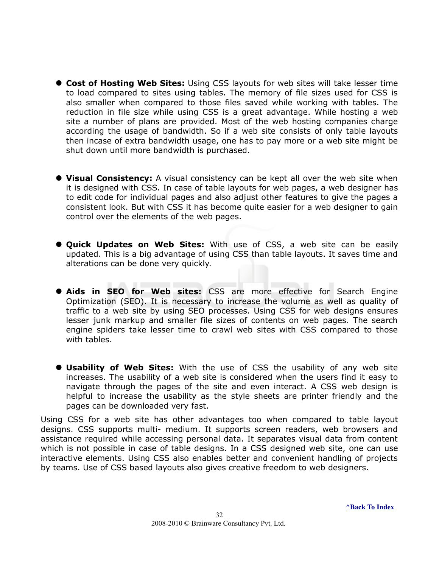- **Cost of Hosting Web Sites:** Using CSS layouts for web sites will take lesser time to load compared to sites using tables. The memory of file sizes used for CSS is also smaller when compared to those files saved while working with tables. The reduction in file size while using CSS is a great advantage. While hosting a web site a number of plans are provided. Most of the web hosting companies charge according the usage of bandwidth. So if a web site consists of only table layouts then incase of extra bandwidth usage, one has to pay more or a web site might be shut down until more bandwidth is purchased.
- **Visual Consistency:** A visual consistency can be kept all over the web site when it is designed with CSS. In case of table layouts for web pages, a web designer has to edit code for individual pages and also adjust other features to give the pages a consistent look. But with CSS it has become quite easier for a web designer to gain control over the elements of the web pages.
- **Quick Updates on Web Sites:** With use of CSS, a web site can be easily updated. This is a big advantage of using CSS than table layouts. It saves time and alterations can be done very quickly.
- **Aids in SEO for Web sites:** CSS are more effective for Search Engine Optimization (SEO). It is necessary to increase the volume as well as quality of traffic to a web site by using SEO processes. Using CSS for web designs ensures lesser junk markup and smaller file sizes of contents on web pages. The search engine spiders take lesser time to crawl web sites with CSS compared to those with tables.
- **Usability of Web Sites:** With the use of CSS the usability of any web site increases. The usability of a web site is considered when the users find it easy to navigate through the pages of the site and even interact. A CSS web design is helpful to increase the usability as the style sheets are printer friendly and the pages can be downloaded very fast.

Using CSS for a web site has other advantages too when compared to table layout designs. CSS supports multi- medium. It supports screen readers, web browsers and assistance required while accessing personal data. It separates visual data from content which is not possible in case of table designs. In a CSS designed web site, one can use interactive elements. Using CSS also enables better and convenient handling of projects by teams. Use of CSS based layouts also gives creative freedom to web designers.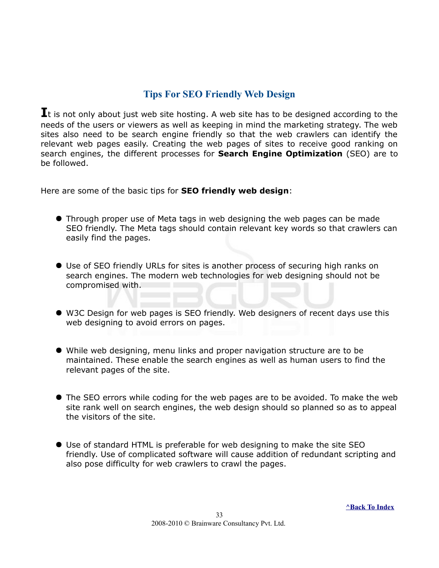#### <span id="page-32-0"></span>**Tips For SEO Friendly Web Design**

**I**t is not only about just web site hosting. A web site has to be designed according to the needs of the users or viewers as well as keeping in mind the marketing strategy. The web sites also need to be search engine friendly so that the web crawlers can identify the relevant web pages easily. Creating the web pages of sites to receive good ranking on search engines, the different processes for **Search Engine Optimization** (SEO) are to be followed.

Here are some of the basic tips for **SEO friendly web design**:

- Through proper use of Meta tags in web designing the web pages can be made SEO friendly. The Meta tags should contain relevant key words so that crawlers can easily find the pages.
- Use of SEO friendly URLs for sites is another process of securing high ranks on search engines. The modern web technologies for web designing should not be compromised with.
- W3C Design for web pages is SEO friendly. Web designers of recent days use this web designing to avoid errors on pages.
- While web designing, menu links and proper navigation structure are to be maintained. These enable the search engines as well as human users to find the relevant pages of the site.
- The SEO errors while coding for the web pages are to be avoided. To make the web site rank well on search engines, the web design should so planned so as to appeal the visitors of the site.
- Use of standard HTML is preferable for web designing to make the site SEO friendly. Use of complicated software will cause addition of redundant scripting and also pose difficulty for web crawlers to crawl the pages.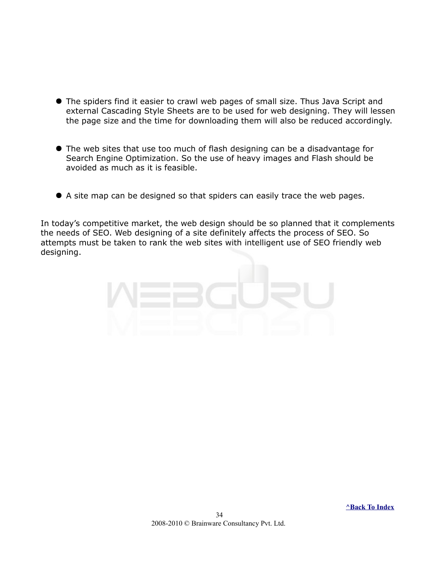- The spiders find it easier to crawl web pages of small size. Thus Java Script and external Cascading Style Sheets are to be used for web designing. They will lessen the page size and the time for downloading them will also be reduced accordingly.
- The web sites that use too much of flash designing can be a disadvantage for Search Engine Optimization. So the use of heavy images and Flash should be avoided as much as it is feasible.
- A site map can be designed so that spiders can easily trace the web pages.

In today's competitive market, the web design should be so planned that it complements the needs of SEO. Web designing of a site definitely affects the process of SEO. So attempts must be taken to rank the web sites with intelligent use of SEO friendly web designing.

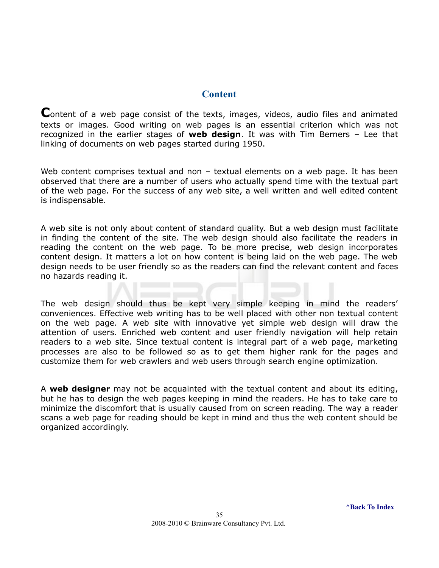#### <span id="page-34-0"></span>**Content**

**C**ontent of a web page consist of the texts, images, videos, audio files and animated texts or images. Good writing on web pages is an essential criterion which was not recognized in the earlier stages of **web design**. It was with Tim Berners – Lee that linking of documents on web pages started during 1950.

Web content comprises textual and non - textual elements on a web page. It has been observed that there are a number of users who actually spend time with the textual part of the web page. For the success of any web site, a well written and well edited content is indispensable.

A web site is not only about content of standard quality. But a web design must facilitate in finding the content of the site. The web design should also facilitate the readers in reading the content on the web page. To be more precise, web design incorporates content design. It matters a lot on how content is being laid on the web page. The web design needs to be user friendly so as the readers can find the relevant content and faces no hazards reading it.

The web design should thus be kept very simple keeping in mind the readers' conveniences. Effective web writing has to be well placed with other non textual content on the web page. A web site with innovative yet simple web design will draw the attention of users. Enriched web content and user friendly navigation will help retain readers to a web site. Since textual content is integral part of a web page, marketing processes are also to be followed so as to get them higher rank for the pages and customize them for web crawlers and web users through search engine optimization.

A **web designer** may not be acquainted with the textual content and about its editing, but he has to design the web pages keeping in mind the readers. He has to take care to minimize the discomfort that is usually caused from on screen reading. The way a reader scans a web page for reading should be kept in mind and thus the web content should be organized accordingly.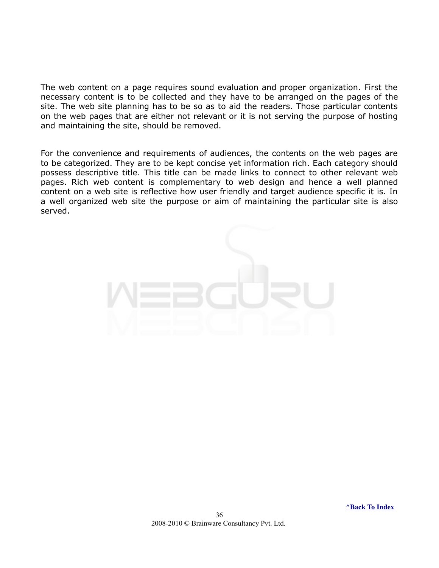The web content on a page requires sound evaluation and proper organization. First the necessary content is to be collected and they have to be arranged on the pages of the site. The web site planning has to be so as to aid the readers. Those particular contents on the web pages that are either not relevant or it is not serving the purpose of hosting and maintaining the site, should be removed.

For the convenience and requirements of audiences, the contents on the web pages are to be categorized. They are to be kept concise yet information rich. Each category should possess descriptive title. This title can be made links to connect to other relevant web pages. Rich web content is complementary to web design and hence a well planned content on a web site is reflective how user friendly and target audience specific it is. In a well organized web site the purpose or aim of maintaining the particular site is also served.

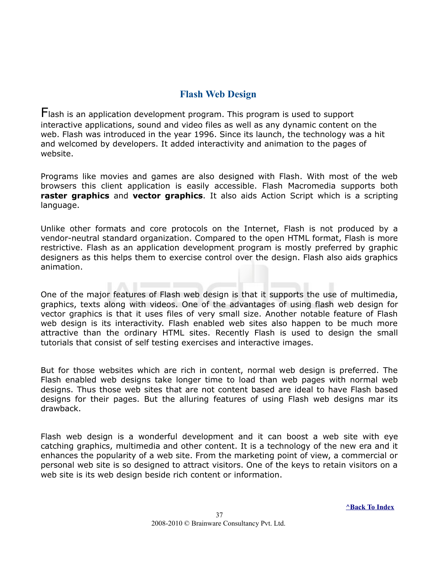#### <span id="page-36-0"></span>**Flash Web Design**

Flash is an application development program. This program is used to support interactive applications, sound and video files as well as any dynamic content on the web. Flash was introduced in the year 1996. Since its launch, the technology was a hit and welcomed by developers. It added interactivity and animation to the pages of website.

Programs like movies and games are also designed with Flash. With most of the web browsers this client application is easily accessible. Flash Macromedia supports both **raster graphics** and **vector graphics**. It also aids Action Script which is a scripting language.

Unlike other formats and core protocols on the Internet, Flash is not produced by a vendor-neutral standard organization. Compared to the open HTML format, Flash is more restrictive. Flash as an application development program is mostly preferred by graphic designers as this helps them to exercise control over the design. Flash also aids graphics animation.

One of the major features of Flash web design is that it supports the use of multimedia, graphics, texts along with videos. One of the advantages of using flash web design for vector graphics is that it uses files of very small size. Another notable feature of Flash web design is its interactivity. Flash enabled web sites also happen to be much more attractive than the ordinary HTML sites. Recently Flash is used to design the small tutorials that consist of self testing exercises and interactive images.

But for those websites which are rich in content, normal web design is preferred. The Flash enabled web designs take longer time to load than web pages with normal web designs. Thus those web sites that are not content based are ideal to have Flash based designs for their pages. But the alluring features of using Flash web designs mar its drawback.

Flash web design is a wonderful development and it can boost a web site with eye catching graphics, multimedia and other content. It is a technology of the new era and it enhances the popularity of a web site. From the marketing point of view, a commercial or personal web site is so designed to attract visitors. One of the keys to retain visitors on a web site is its web design beside rich content or information.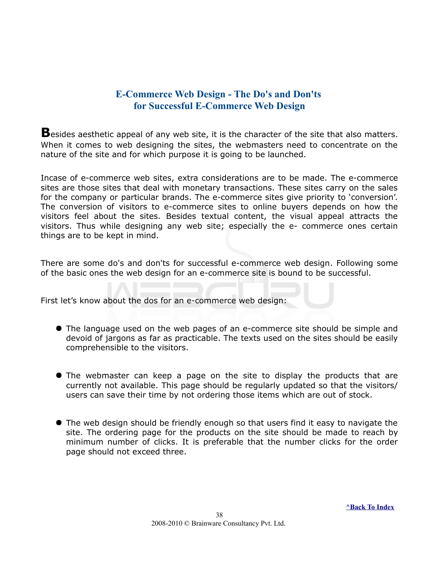#### <span id="page-37-0"></span>**E-Commerce Web Design - The Do's and Don'ts for Successful E-Commerce Web Design**

**B**esides aesthetic appeal of any web site, it is the character of the site that also matters. When it comes to web designing the sites, the webmasters need to concentrate on the nature of the site and for which purpose it is going to be launched.

Incase of e-commerce web sites, extra considerations are to be made. The e-commerce sites are those sites that deal with monetary transactions. These sites carry on the sales for the company or particular brands. The e-commerce sites give priority to 'conversion'. The conversion of visitors to e-commerce sites to online buyers depends on how the visitors feel about the sites. Besides textual content, the visual appeal attracts the visitors. Thus while designing any web site; especially the e- commerce ones certain things are to be kept in mind.

There are some do's and don'ts for successful e-commerce web design. Following some of the basic ones the web design for an e-commerce site is bound to be successful.

First let's know about the dos for an e-commerce web design:

- The language used on the web pages of an e-commerce site should be simple and devoid of jargons as far as practicable. The texts used on the sites should be easily comprehensible to the visitors.
- The webmaster can keep a page on the site to display the products that are currently not available. This page should be regularly updated so that the visitors/ users can save their time by not ordering those items which are out of stock.
- The web design should be friendly enough so that users find it easy to navigate the site. The ordering page for the products on the site should be made to reach by minimum number of clicks. It is preferable that the number clicks for the order page should not exceed three.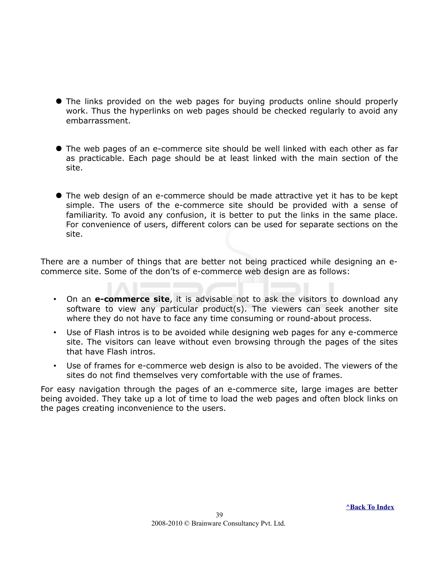- The links provided on the web pages for buying products online should properly work. Thus the hyperlinks on web pages should be checked regularly to avoid any embarrassment.
- The web pages of an e-commerce site should be well linked with each other as far as practicable. Each page should be at least linked with the main section of the site.
- The web design of an e-commerce should be made attractive yet it has to be kept simple. The users of the e-commerce site should be provided with a sense of familiarity. To avoid any confusion, it is better to put the links in the same place. For convenience of users, different colors can be used for separate sections on the site.

There are a number of things that are better not being practiced while designing an ecommerce site. Some of the don'ts of e-commerce web design are as follows:

- On an **e-commerce site**, it is advisable not to ask the visitors to download any software to view any particular product(s). The viewers can seek another site where they do not have to face any time consuming or round-about process.
- Use of Flash intros is to be avoided while designing web pages for any e-commerce site. The visitors can leave without even browsing through the pages of the sites that have Flash intros.
- Use of frames for e-commerce web design is also to be avoided. The viewers of the sites do not find themselves very comfortable with the use of frames.

For easy navigation through the pages of an e-commerce site, large images are better being avoided. They take up a lot of time to load the web pages and often block links on the pages creating inconvenience to the users.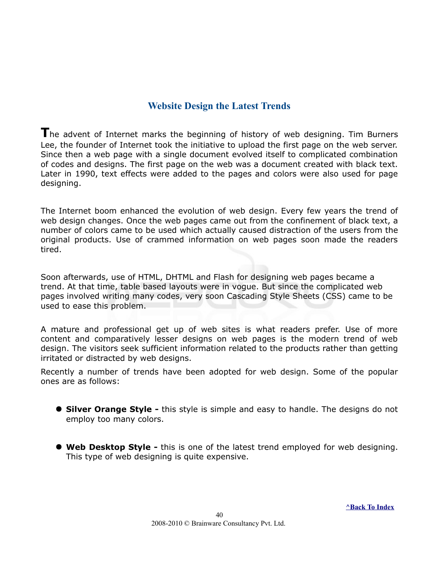#### <span id="page-39-0"></span>**Website Design the Latest Trends**

**T**he advent of Internet marks the beginning of history of web designing. Tim Burners Lee, the founder of Internet took the initiative to upload the first page on the web server. Since then a web page with a single document evolved itself to complicated combination of codes and designs. The first page on the web was a document created with black text. Later in 1990, text effects were added to the pages and colors were also used for page designing.

The Internet boom enhanced the evolution of web design. Every few years the trend of web design changes. Once the web pages came out from the confinement of black text, a number of colors came to be used which actually caused distraction of the users from the original products. Use of crammed information on web pages soon made the readers tired.

Soon afterwards, use of HTML, DHTML and Flash for designing web pages became a trend. At that time, table based layouts were in vogue. But since the complicated web pages involved writing many codes, very soon Cascading Style Sheets (CSS) came to be used to ease this problem.

A mature and professional get up of web sites is what readers prefer. Use of more content and comparatively lesser designs on web pages is the modern trend of web design. The visitors seek sufficient information related to the products rather than getting irritated or distracted by web designs.

Recently a number of trends have been adopted for web design. Some of the popular ones are as follows:

- **Silver Orange Style -** this style is simple and easy to handle. The designs do not employ too many colors.
- **Web Desktop Style -** this is one of the latest trend employed for web designing. This type of web designing is quite expensive.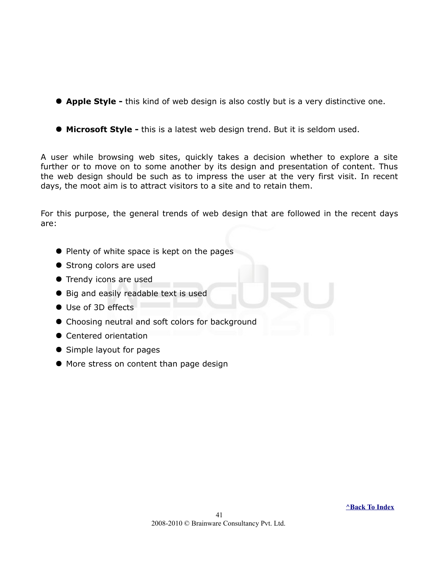- **Apple Style -** this kind of web design is also costly but is a very distinctive one.
- **Microsoft Style -** this is a latest web design trend. But it is seldom used.

A user while browsing web sites, quickly takes a decision whether to explore a site further or to move on to some another by its design and presentation of content. Thus the web design should be such as to impress the user at the very first visit. In recent days, the moot aim is to attract visitors to a site and to retain them.

For this purpose, the general trends of web design that are followed in the recent days are:

- Plenty of white space is kept on the pages
- Strong colors are used
- **•** Trendy icons are used
- Big and easily readable text is used
- Use of 3D effects
- Choosing neutral and soft colors for background
- **Centered orientation**
- Simple layout for pages
- $\bullet$  More stress on content than page design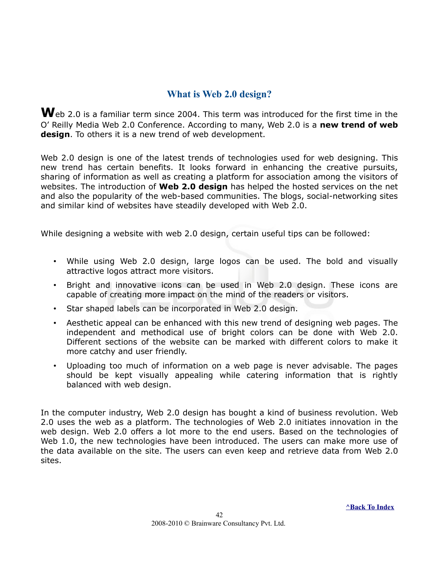#### <span id="page-41-0"></span>**What is Web 2.0 design?**

Web 2.0 is a familiar term since 2004. This term was introduced for the first time in the O' Reilly Media Web 2.0 Conference. According to many, Web 2.0 is a **new trend of web design**. To others it is a new trend of web development.

Web 2.0 design is one of the latest trends of technologies used for web designing. This new trend has certain benefits. It looks forward in enhancing the creative pursuits, sharing of information as well as creating a platform for association among the visitors of websites. The introduction of **Web 2.0 design** has helped the hosted services on the net and also the popularity of the web-based communities. The blogs, social-networking sites and similar kind of websites have steadily developed with Web 2.0.

While designing a website with web 2.0 design, certain useful tips can be followed:

- While using Web 2.0 design, large logos can be used. The bold and visually attractive logos attract more visitors.
- Bright and innovative icons can be used in Web 2.0 design. These icons are capable of creating more impact on the mind of the readers or visitors.
- Star shaped labels can be incorporated in Web 2.0 design.
- Aesthetic appeal can be enhanced with this new trend of designing web pages. The independent and methodical use of bright colors can be done with Web 2.0. Different sections of the website can be marked with different colors to make it more catchy and user friendly.
- Uploading too much of information on a web page is never advisable. The pages should be kept visually appealing while catering information that is rightly balanced with web design.

In the computer industry, Web 2.0 design has bought a kind of business revolution. Web 2.0 uses the web as a platform. The technologies of Web 2.0 initiates innovation in the web design. Web 2.0 offers a lot more to the end users. Based on the technologies of Web 1.0, the new technologies have been introduced. The users can make more use of the data available on the site. The users can even keep and retrieve data from Web 2.0 sites.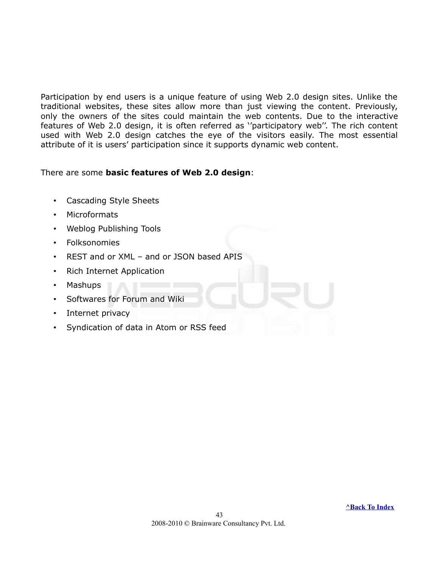Participation by end users is a unique feature of using Web 2.0 design sites. Unlike the traditional websites, these sites allow more than just viewing the content. Previously, only the owners of the sites could maintain the web contents. Due to the interactive features of Web 2.0 design, it is often referred as ''participatory web''. The rich content used with Web 2.0 design catches the eye of the visitors easily. The most essential attribute of it is users' participation since it supports dynamic web content.

#### There are some **basic features of Web 2.0 design**:

- Cascading Style Sheets
- Microformats
- Weblog Publishing Tools
- Folksonomies
- REST and or XML and or JSON based APIS
- Rich Internet Application
- Mashups
- Softwares for Forum and Wiki
- Internet privacy
- Syndication of data in Atom or RSS feed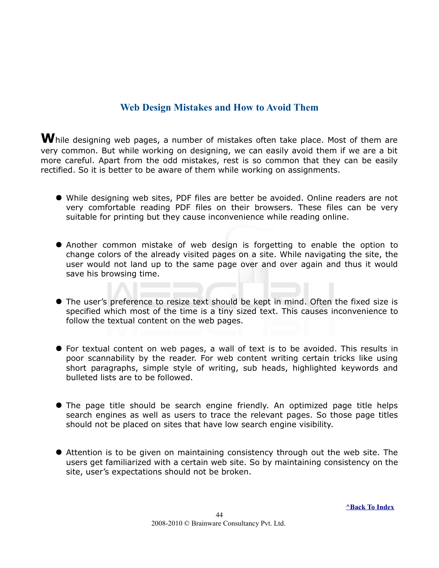#### <span id="page-43-0"></span>**Web Design Mistakes and How to Avoid Them**

**W**hile designing web pages, a number of mistakes often take place. Most of them are very common. But while working on designing, we can easily avoid them if we are a bit more careful. Apart from the odd mistakes, rest is so common that they can be easily rectified. So it is better to be aware of them while working on assignments.

- While designing web sites, PDF files are better be avoided. Online readers are not very comfortable reading PDF files on their browsers. These files can be very suitable for printing but they cause inconvenience while reading online.
- Another common mistake of web design is forgetting to enable the option to change colors of the already visited pages on a site. While navigating the site, the user would not land up to the same page over and over again and thus it would save his browsing time.
- The user's preference to resize text should be kept in mind. Often the fixed size is specified which most of the time is a tiny sized text. This causes inconvenience to follow the textual content on the web pages.
- For textual content on web pages, a wall of text is to be avoided. This results in poor scannability by the reader. For web content writing certain tricks like using short paragraphs, simple style of writing, sub heads, highlighted keywords and bulleted lists are to be followed.
- The page title should be search engine friendly. An optimized page title helps search engines as well as users to trace the relevant pages. So those page titles should not be placed on sites that have low search engine visibility.
- Attention is to be given on maintaining consistency through out the web site. The users get familiarized with a certain web site. So by maintaining consistency on the site, user's expectations should not be broken.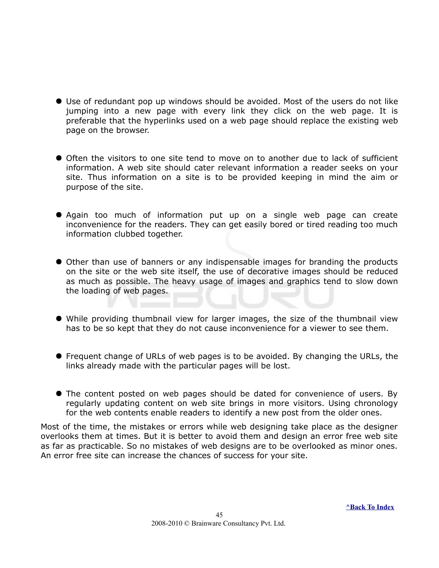- Use of redundant pop up windows should be avoided. Most of the users do not like jumping into a new page with every link they click on the web page. It is preferable that the hyperlinks used on a web page should replace the existing web page on the browser.
- Often the visitors to one site tend to move on to another due to lack of sufficient information. A web site should cater relevant information a reader seeks on your site. Thus information on a site is to be provided keeping in mind the aim or purpose of the site.
- Again too much of information put up on a single web page can create inconvenience for the readers. They can get easily bored or tired reading too much information clubbed together.
- Other than use of banners or any indispensable images for branding the products on the site or the web site itself, the use of decorative images should be reduced as much as possible. The heavy usage of images and graphics tend to slow down the loading of web pages.
- While providing thumbnail view for larger images, the size of the thumbnail view has to be so kept that they do not cause inconvenience for a viewer to see them.
- Frequent change of URLs of web pages is to be avoided. By changing the URLs, the links already made with the particular pages will be lost.
- The content posted on web pages should be dated for convenience of users. By regularly updating content on web site brings in more visitors. Using chronology for the web contents enable readers to identify a new post from the older ones.

Most of the time, the mistakes or errors while web designing take place as the designer overlooks them at times. But it is better to avoid them and design an error free web site as far as practicable. So no mistakes of web designs are to be overlooked as minor ones. An error free site can increase the chances of success for your site.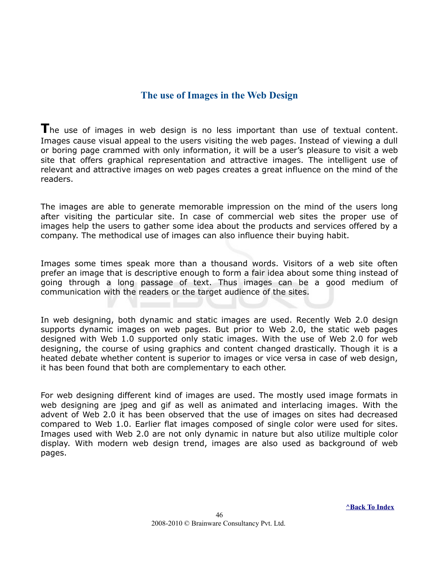#### <span id="page-45-0"></span>**The use of Images in the Web Design**

The use of images in web design is no less important than use of textual content. Images cause visual appeal to the users visiting the web pages. Instead of viewing a dull or boring page crammed with only information, it will be a user's pleasure to visit a web site that offers graphical representation and attractive images. The intelligent use of relevant and attractive images on web pages creates a great influence on the mind of the readers.

The images are able to generate memorable impression on the mind of the users long after visiting the particular site. In case of commercial web sites the proper use of images help the users to gather some idea about the products and services offered by a company. The methodical use of images can also influence their buying habit.

Images some times speak more than a thousand words. Visitors of a web site often prefer an image that is descriptive enough to form a fair idea about some thing instead of going through a long passage of text. Thus images can be a good medium of communication with the readers or the target audience of the sites.

In web designing, both dynamic and static images are used. Recently Web 2.0 design supports dynamic images on web pages. But prior to Web 2.0, the static web pages designed with Web 1.0 supported only static images. With the use of Web 2.0 for web designing, the course of using graphics and content changed drastically. Though it is a heated debate whether content is superior to images or vice versa in case of web design, it has been found that both are complementary to each other.

For web designing different kind of images are used. The mostly used image formats in web designing are jpeg and gif as well as animated and interlacing images. With the advent of Web 2.0 it has been observed that the use of images on sites had decreased compared to Web 1.0. Earlier flat images composed of single color were used for sites. Images used with Web 2.0 are not only dynamic in nature but also utilize multiple color display. With modern web design trend, images are also used as background of web pages.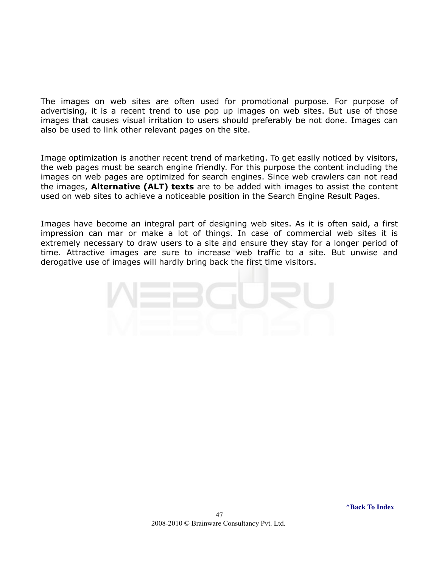The images on web sites are often used for promotional purpose. For purpose of advertising, it is a recent trend to use pop up images on web sites. But use of those images that causes visual irritation to users should preferably be not done. Images can also be used to link other relevant pages on the site.

Image optimization is another recent trend of marketing. To get easily noticed by visitors, the web pages must be search engine friendly. For this purpose the content including the images on web pages are optimized for search engines. Since web crawlers can not read the images, **Alternative (ALT) texts** are to be added with images to assist the content used on web sites to achieve a noticeable position in the Search Engine Result Pages.

Images have become an integral part of designing web sites. As it is often said, a first impression can mar or make a lot of things. In case of commercial web sites it is extremely necessary to draw users to a site and ensure they stay for a longer period of time. Attractive images are sure to increase web traffic to a site. But unwise and derogative use of images will hardly bring back the first time visitors.

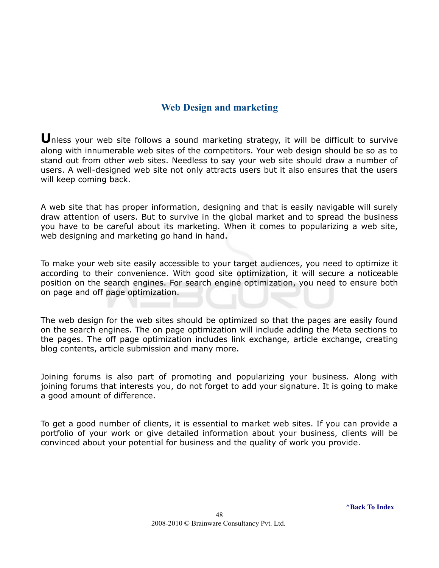#### <span id="page-47-0"></span>**Web Design and marketing**

**U**nless your web site follows a sound marketing strategy, it will be difficult to survive along with innumerable web sites of the competitors. Your web design should be so as to stand out from other web sites. Needless to say your web site should draw a number of users. A well-designed web site not only attracts users but it also ensures that the users will keep coming back.

A web site that has proper information, designing and that is easily navigable will surely draw attention of users. But to survive in the global market and to spread the business you have to be careful about its marketing. When it comes to popularizing a web site, web designing and marketing go hand in hand.

To make your web site easily accessible to your target audiences, you need to optimize it according to their convenience. With good site optimization, it will secure a noticeable position on the search engines. For search engine optimization, you need to ensure both on page and off page optimization.

The web design for the web sites should be optimized so that the pages are easily found on the search engines. The on page optimization will include adding the Meta sections to the pages. The off page optimization includes link exchange, article exchange, creating blog contents, article submission and many more.

Joining forums is also part of promoting and popularizing your business. Along with joining forums that interests you, do not forget to add your signature. It is going to make a good amount of difference.

To get a good number of clients, it is essential to market web sites. If you can provide a portfolio of your work or give detailed information about your business, clients will be convinced about your potential for business and the quality of work you provide.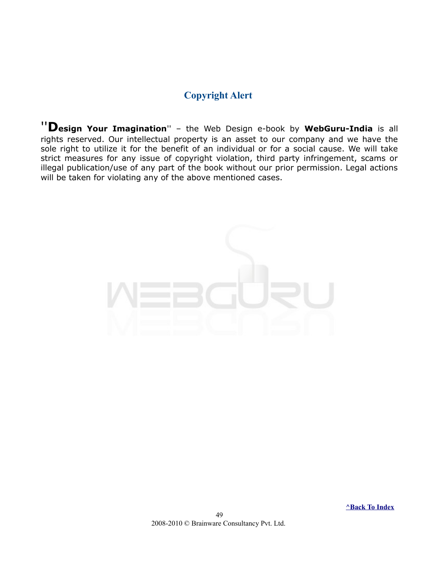#### <span id="page-48-0"></span>**Copyright Alert**

''**Design Your Imagination**'' – the Web Design e-book by **WebGuru-India** is all rights reserved. Our intellectual property is an asset to our company and we have the sole right to utilize it for the benefit of an individual or for a social cause. We will take strict measures for any issue of copyright violation, third party infringement, scams or illegal publication/use of any part of the book without our prior permission. Legal actions will be taken for violating any of the above mentioned cases.